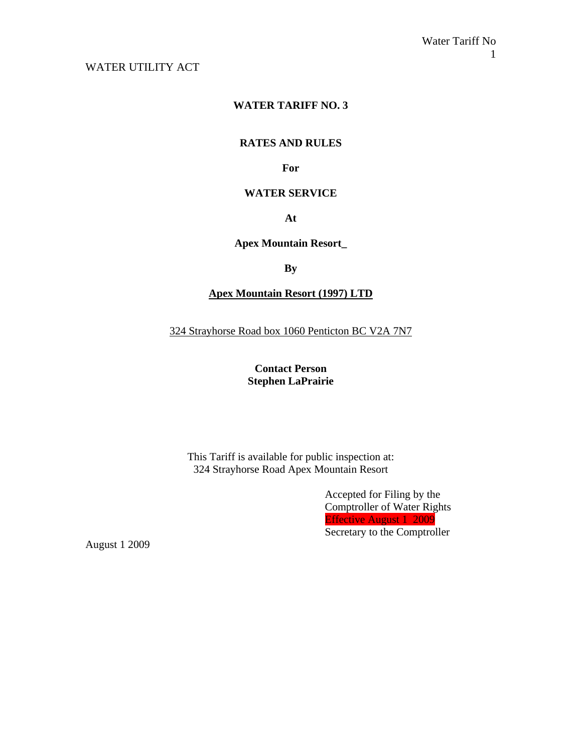## WATER UTILITY ACT

## **WATER TARIFF NO. 3**

#### **RATES AND RULES**

#### **For**

#### **WATER SERVICE**

#### **At**

#### **Apex Mountain Resort\_**

#### **By**

## **Apex Mountain Resort (1997) LTD**

324 Strayhorse Road box 1060 Penticton BC V2A 7N7

## **Contact Person Stephen LaPrairie**

This Tariff is available for public inspection at: 324 Strayhorse Road Apex Mountain Resort

> Accepted for Filing by the Comptroller of Water Rights Effective August 1 2009 Secretary to the Comptroller

August 1 2009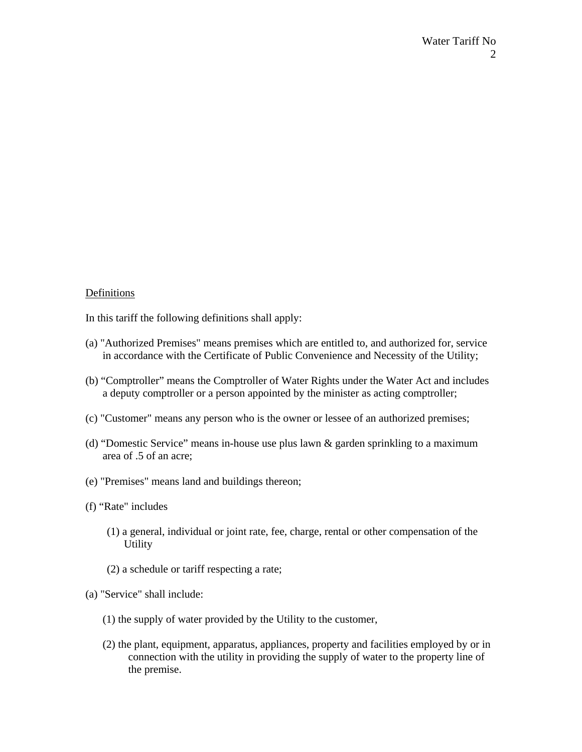#### Definitions

In this tariff the following definitions shall apply:

- (a) "Authorized Premises" means premises which are entitled to, and authorized for, service in accordance with the Certificate of Public Convenience and Necessity of the Utility;
- (b) "Comptroller" means the Comptroller of Water Rights under the Water Act and includes a deputy comptroller or a person appointed by the minister as acting comptroller;
- (c) "Customer" means any person who is the owner or lessee of an authorized premises;
- (d) "Domestic Service" means in-house use plus lawn & garden sprinkling to a maximum area of .5 of an acre;
- (e) "Premises" means land and buildings thereon;
- (f) "Rate" includes
	- (1) a general, individual or joint rate, fee, charge, rental or other compensation of the **Utility**
	- (2) a schedule or tariff respecting a rate;
- (a) "Service" shall include:
	- (1) the supply of water provided by the Utility to the customer,
	- (2) the plant, equipment, apparatus, appliances, property and facilities employed by or in connection with the utility in providing the supply of water to the property line of the premise.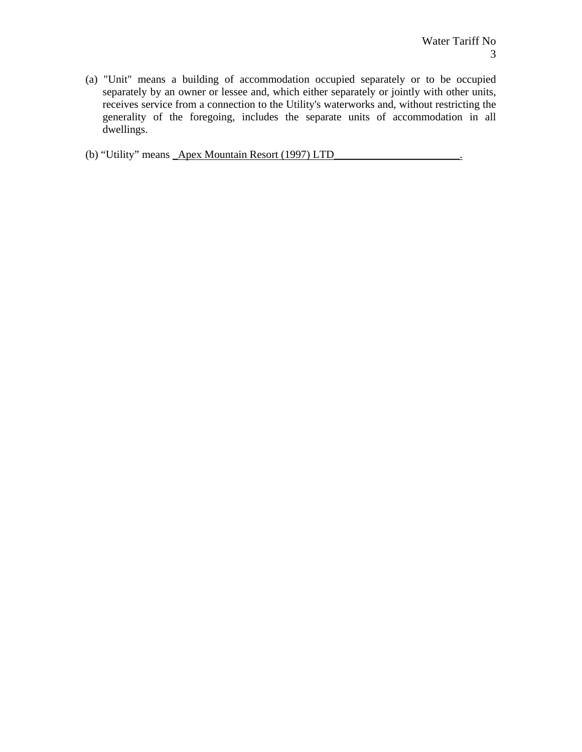(a) "Unit" means a building of accommodation occupied separately or to be occupied separately by an owner or lessee and, which either separately or jointly with other units, receives service from a connection to the Utility's waterworks and, without restricting the generality of the foregoing, includes the separate units of accommodation in all dwellings.

(b) "Utility" means **\_Apex Mountain Resort (1997) LTD**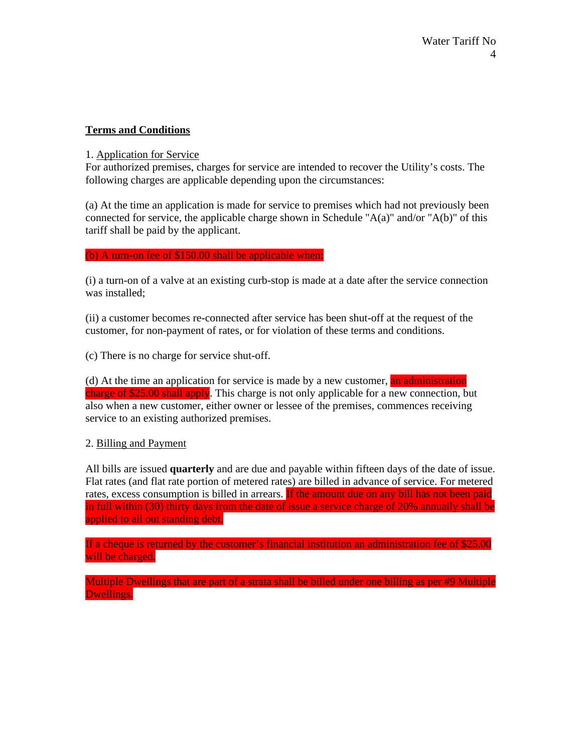## **Terms and Conditions**

### 1. Application for Service

For authorized premises, charges for service are intended to recover the Utility's costs. The following charges are applicable depending upon the circumstances:

(a) At the time an application is made for service to premises which had not previously been connected for service, the applicable charge shown in Schedule " $A(a)$ " and/or " $A(b)$ " of this tariff shall be paid by the applicant.

#### (b) A turn-on fee of \$150.00 shall be applicable when:

(i) a turn-on of a valve at an existing curb-stop is made at a date after the service connection was installed;

(ii) a customer becomes re-connected after service has been shut-off at the request of the customer, for non-payment of rates, or for violation of these terms and conditions.

(c) There is no charge for service shut-off.

(d) At the time an application for service is made by a new customer, an administration charge of \$25.00 shall apply. This charge is not only applicable for a new connection, but also when a new customer, either owner or lessee of the premises, commences receiving service to an existing authorized premises.

## 2. Billing and Payment

All bills are issued **quarterly** and are due and payable within fifteen days of the date of issue. Flat rates (and flat rate portion of metered rates) are billed in advance of service. For metered rates, excess consumption is billed in arrears. If the amount due on any bill has not been paid in full within (30) thirty days from the date of issue a service charge of 20% annually shall be applied to all out standing debt.

If a cheque is returned by the customer's financial institution an administration fee of \$25.00 will be charged.

Multiple Dwellings that are part of a strata shall be billed under one billing as per #9 Multiple Dwellings.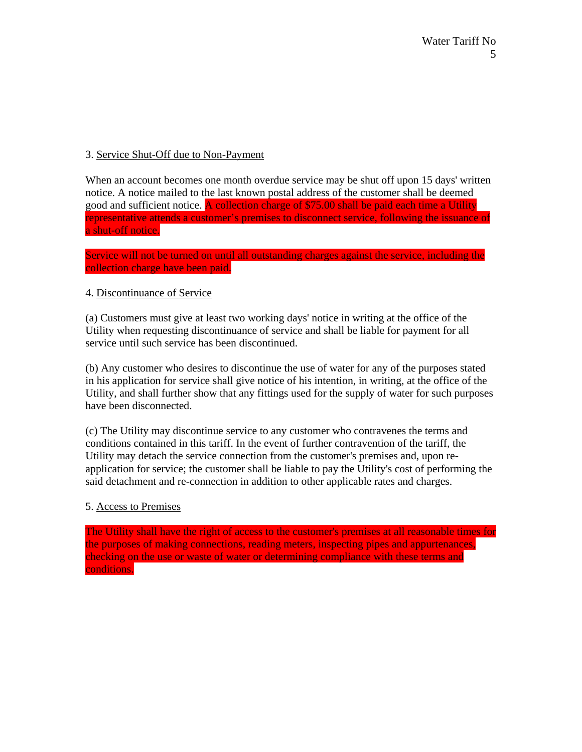## 3. Service Shut-Off due to Non-Payment

When an account becomes one month overdue service may be shut off upon 15 days' written notice. A notice mailed to the last known postal address of the customer shall be deemed good and sufficient notice. A collection charge of \$75.00 shall be paid each time a Utility representative attends a customer's premises to disconnect service, following the issuance of a shut-off notice.

Service will not be turned on until all outstanding charges against the service, including the collection charge have been paid.

## 4. Discontinuance of Service

(a) Customers must give at least two working days' notice in writing at the office of the Utility when requesting discontinuance of service and shall be liable for payment for all service until such service has been discontinued.

(b) Any customer who desires to discontinue the use of water for any of the purposes stated in his application for service shall give notice of his intention, in writing, at the office of the Utility, and shall further show that any fittings used for the supply of water for such purposes have been disconnected.

(c) The Utility may discontinue service to any customer who contravenes the terms and conditions contained in this tariff. In the event of further contravention of the tariff, the Utility may detach the service connection from the customer's premises and, upon reapplication for service; the customer shall be liable to pay the Utility's cost of performing the said detachment and re-connection in addition to other applicable rates and charges.

## 5. Access to Premises

The Utility shall have the right of access to the customer's premises at all reasonable times for the purposes of making connections, reading meters, inspecting pipes and appurtenances, checking on the use or waste of water or determining compliance with these terms and conditions.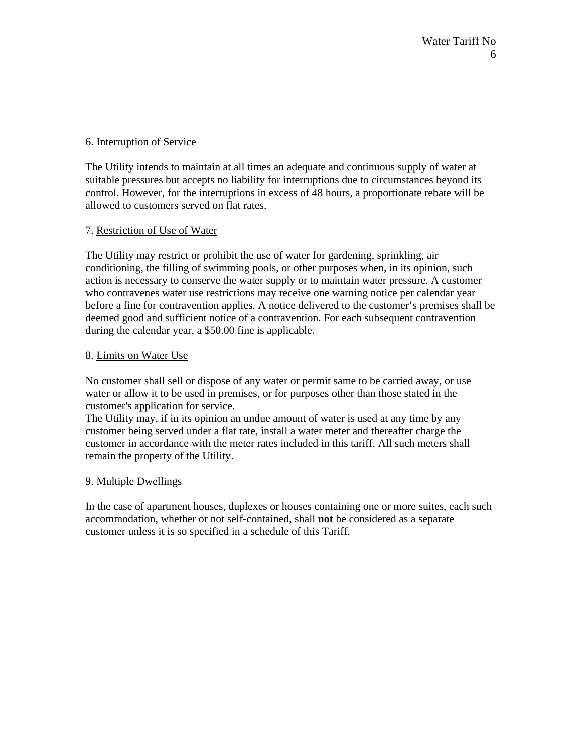## 6. Interruption of Service

The Utility intends to maintain at all times an adequate and continuous supply of water at suitable pressures but accepts no liability for interruptions due to circumstances beyond its control. However, for the interruptions in excess of 48 hours, a proportionate rebate will be allowed to customers served on flat rates.

## 7. Restriction of Use of Water

The Utility may restrict or prohibit the use of water for gardening, sprinkling, air conditioning, the filling of swimming pools, or other purposes when, in its opinion, such action is necessary to conserve the water supply or to maintain water pressure. A customer who contravenes water use restrictions may receive one warning notice per calendar year before a fine for contravention applies. A notice delivered to the customer's premises shall be deemed good and sufficient notice of a contravention. For each subsequent contravention during the calendar year, a \$50.00 fine is applicable.

## 8. Limits on Water Use

No customer shall sell or dispose of any water or permit same to be carried away, or use water or allow it to be used in premises, or for purposes other than those stated in the customer's application for service.

The Utility may, if in its opinion an undue amount of water is used at any time by any customer being served under a flat rate, install a water meter and thereafter charge the customer in accordance with the meter rates included in this tariff. All such meters shall remain the property of the Utility.

## 9. Multiple Dwellings

In the case of apartment houses, duplexes or houses containing one or more suites, each such accommodation, whether or not self-contained, shall **not** be considered as a separate customer unless it is so specified in a schedule of this Tariff.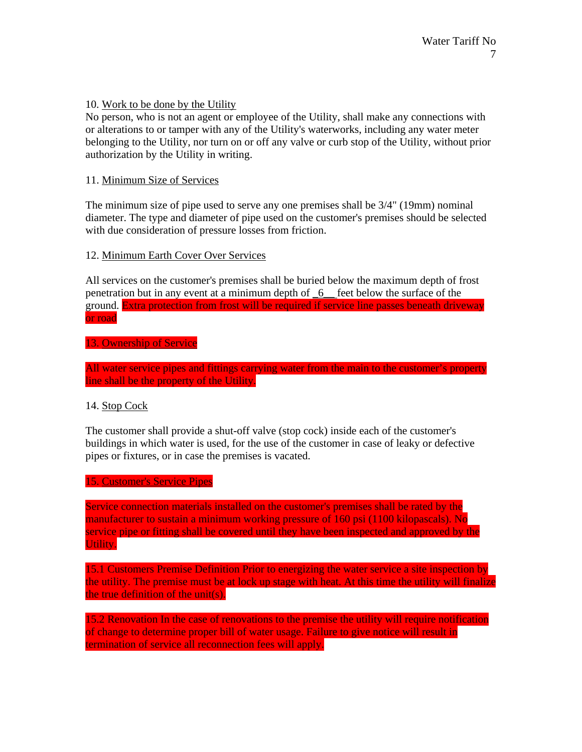## 10. Work to be done by the Utility

No person, who is not an agent or employee of the Utility, shall make any connections with or alterations to or tamper with any of the Utility's waterworks, including any water meter belonging to the Utility, nor turn on or off any valve or curb stop of the Utility, without prior authorization by the Utility in writing.

#### 11. Minimum Size of Services

The minimum size of pipe used to serve any one premises shall be 3/4" (19mm) nominal diameter. The type and diameter of pipe used on the customer's premises should be selected with due consideration of pressure losses from friction.

#### 12. Minimum Earth Cover Over Services

All services on the customer's premises shall be buried below the maximum depth of frost penetration but in any event at a minimum depth of \_6\_\_ feet below the surface of the ground. Extra protection from frost will be required if service line passes beneath driveway or road

#### 13. Ownership of Service

All water service pipes and fittings carrying water from the main to the customer's property line shall be the property of the Utility.

## 14. Stop Cock

The customer shall provide a shut-off valve (stop cock) inside each of the customer's buildings in which water is used, for the use of the customer in case of leaky or defective pipes or fixtures, or in case the premises is vacated.

## 15. Customer's Service Pipes

Service connection materials installed on the customer's premises shall be rated by the manufacturer to sustain a minimum working pressure of 160 psi (1100 kilopascals). No service pipe or fitting shall be covered until they have been inspected and approved by the Utility.

15.1 Customers Premise Definition Prior to energizing the water service a site inspection by the utility. The premise must be at lock up stage with heat. At this time the utility will finalize the true definition of the unit(s).

15.2 Renovation In the case of renovations to the premise the utility will require notification of change to determine proper bill of water usage. Failure to give notice will result in termination of service all reconnection fees will apply.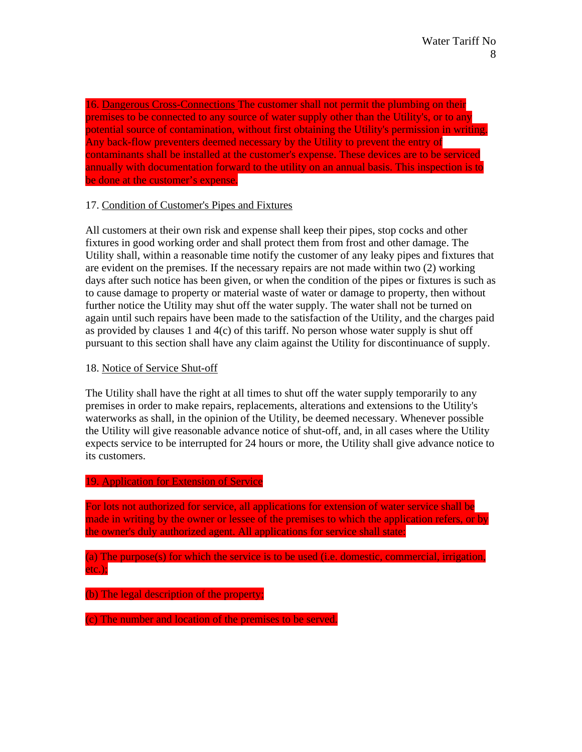16. Dangerous Cross-Connections The customer shall not permit the plumbing on their premises to be connected to any source of water supply other than the Utility's, or to any potential source of contamination, without first obtaining the Utility's permission in writing. Any back-flow preventers deemed necessary by the Utility to prevent the entry of contaminants shall be installed at the customer's expense. These devices are to be serviced annually with documentation forward to the utility on an annual basis. This inspection is to be done at the customer's expense.

## 17. Condition of Customer's Pipes and Fixtures

All customers at their own risk and expense shall keep their pipes, stop cocks and other fixtures in good working order and shall protect them from frost and other damage. The Utility shall, within a reasonable time notify the customer of any leaky pipes and fixtures that are evident on the premises. If the necessary repairs are not made within two (2) working days after such notice has been given, or when the condition of the pipes or fixtures is such as to cause damage to property or material waste of water or damage to property, then without further notice the Utility may shut off the water supply. The water shall not be turned on again until such repairs have been made to the satisfaction of the Utility, and the charges paid as provided by clauses 1 and  $4(c)$  of this tariff. No person whose water supply is shut off pursuant to this section shall have any claim against the Utility for discontinuance of supply.

#### 18. Notice of Service Shut-off

The Utility shall have the right at all times to shut off the water supply temporarily to any premises in order to make repairs, replacements, alterations and extensions to the Utility's waterworks as shall, in the opinion of the Utility, be deemed necessary. Whenever possible the Utility will give reasonable advance notice of shut-off, and, in all cases where the Utility expects service to be interrupted for 24 hours or more, the Utility shall give advance notice to its customers.

### 19. Application for Extension of Service

For lots not authorized for service, all applications for extension of water service shall be made in writing by the owner or lessee of the premises to which the application refers, or by the owner's duly authorized agent. All applications for service shall state:

(a) The purpose(s) for which the service is to be used (i.e. domestic, commercial, irrigation, etc.);

(b) The legal description of the property;

(c) The number and location of the premises to be served.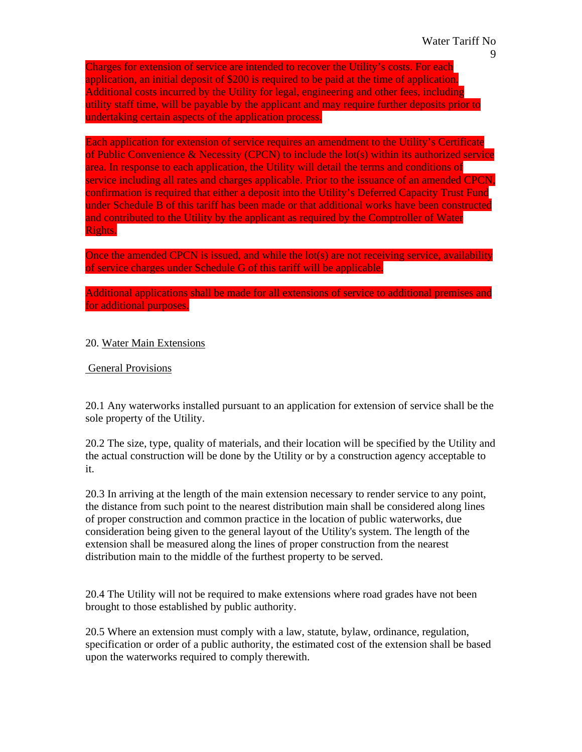Charges for extension of service are intended to recover the Utility's costs. For each application, an initial deposit of \$200 is required to be paid at the time of application. Additional costs incurred by the Utility for legal, engineering and other fees, including utility staff time, will be payable by the applicant and may require further deposits prior to undertaking certain aspects of the application process.

Each application for extension of service requires an amendment to the Utility's Certificate of Public Convenience & Necessity (CPCN) to include the lot(s) within its authorized service area. In response to each application, the Utility will detail the terms and conditions of service including all rates and charges applicable. Prior to the issuance of an amended CPCN, confirmation is required that either a deposit into the Utility's Deferred Capacity Trust Fund under Schedule B of this tariff has been made or that additional works have been constructed and contributed to the Utility by the applicant as required by the Comptroller of Water Rights.

Once the amended CPCN is issued, and while the lot(s) are not receiving service, availability of service charges under Schedule G of this tariff will be applicable.

Additional applications shall be made for all extensions of service to additional premises and for additional purposes.

#### 20. Water Main Extensions

#### General Provisions

20.1 Any waterworks installed pursuant to an application for extension of service shall be the sole property of the Utility.

20.2 The size, type, quality of materials, and their location will be specified by the Utility and the actual construction will be done by the Utility or by a construction agency acceptable to it.

20.3 In arriving at the length of the main extension necessary to render service to any point, the distance from such point to the nearest distribution main shall be considered along lines of proper construction and common practice in the location of public waterworks, due consideration being given to the general layout of the Utility's system. The length of the extension shall be measured along the lines of proper construction from the nearest distribution main to the middle of the furthest property to be served.

20.4 The Utility will not be required to make extensions where road grades have not been brought to those established by public authority.

20.5 Where an extension must comply with a law, statute, bylaw, ordinance, regulation, specification or order of a public authority, the estimated cost of the extension shall be based upon the waterworks required to comply therewith.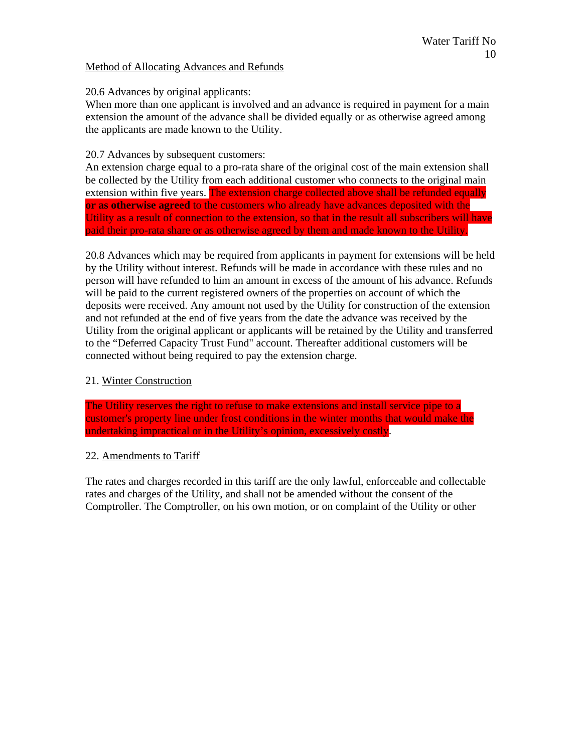## Method of Allocating Advances and Refunds

## 20.6 Advances by original applicants:

When more than one applicant is involved and an advance is required in payment for a main extension the amount of the advance shall be divided equally or as otherwise agreed among the applicants are made known to the Utility.

## 20.7 Advances by subsequent customers:

An extension charge equal to a pro-rata share of the original cost of the main extension shall be collected by the Utility from each additional customer who connects to the original main extension within five years. The extension charge collected above shall be refunded equally **or as otherwise agreed** to the customers who already have advances deposited with the Utility as a result of connection to the extension, so that in the result all subscribers will have paid their pro-rata share or as otherwise agreed by them and made known to the Utility.

20.8 Advances which may be required from applicants in payment for extensions will be held by the Utility without interest. Refunds will be made in accordance with these rules and no person will have refunded to him an amount in excess of the amount of his advance. Refunds will be paid to the current registered owners of the properties on account of which the deposits were received. Any amount not used by the Utility for construction of the extension and not refunded at the end of five years from the date the advance was received by the Utility from the original applicant or applicants will be retained by the Utility and transferred to the "Deferred Capacity Trust Fund" account. Thereafter additional customers will be connected without being required to pay the extension charge.

## 21. Winter Construction

The Utility reserves the right to refuse to make extensions and install service pipe to a customer's property line under frost conditions in the winter months that would make the undertaking impractical or in the Utility's opinion, excessively costly.

## 22. Amendments to Tariff

The rates and charges recorded in this tariff are the only lawful, enforceable and collectable rates and charges of the Utility, and shall not be amended without the consent of the Comptroller. The Comptroller, on his own motion, or on complaint of the Utility or other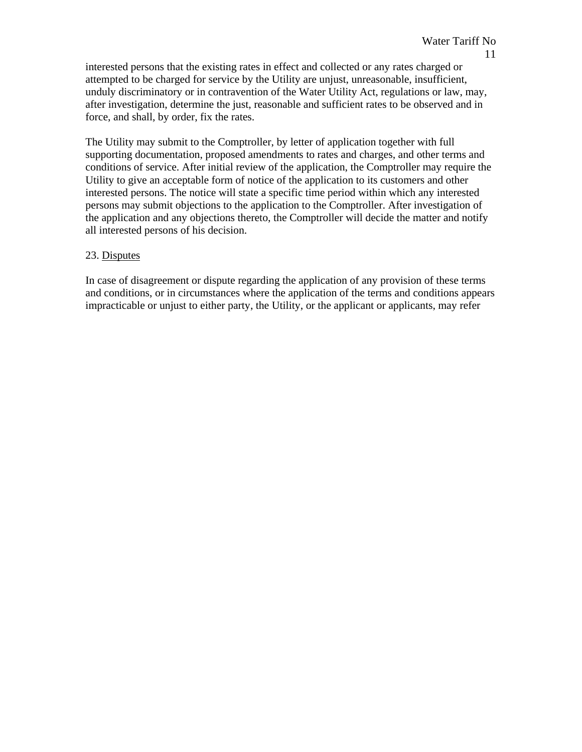interested persons that the existing rates in effect and collected or any rates charged or attempted to be charged for service by the Utility are unjust, unreasonable, insufficient, unduly discriminatory or in contravention of the Water Utility Act, regulations or law, may, after investigation, determine the just, reasonable and sufficient rates to be observed and in force, and shall, by order, fix the rates.

The Utility may submit to the Comptroller, by letter of application together with full supporting documentation, proposed amendments to rates and charges, and other terms and conditions of service. After initial review of the application, the Comptroller may require the Utility to give an acceptable form of notice of the application to its customers and other interested persons. The notice will state a specific time period within which any interested persons may submit objections to the application to the Comptroller. After investigation of the application and any objections thereto, the Comptroller will decide the matter and notify all interested persons of his decision.

## 23. Disputes

In case of disagreement or dispute regarding the application of any provision of these terms and conditions, or in circumstances where the application of the terms and conditions appears impracticable or unjust to either party, the Utility, or the applicant or applicants, may refer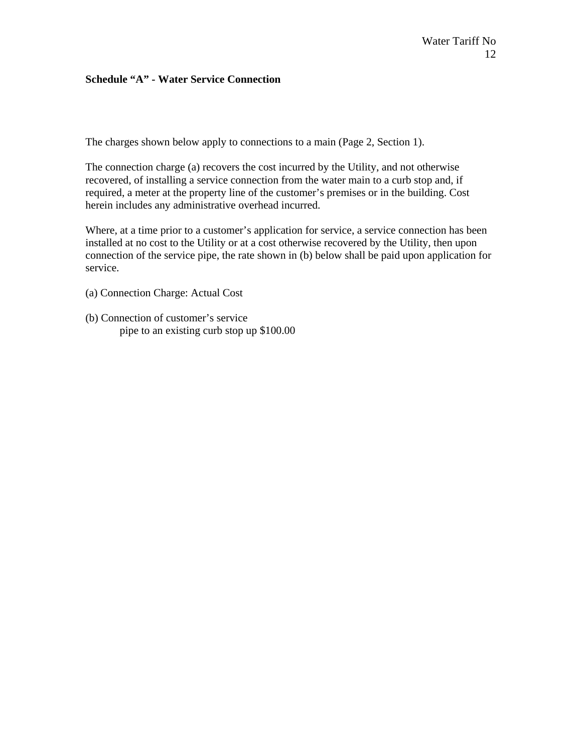### **Schedule "A" - Water Service Connection**

The charges shown below apply to connections to a main (Page 2, Section 1).

The connection charge (a) recovers the cost incurred by the Utility, and not otherwise recovered, of installing a service connection from the water main to a curb stop and, if required, a meter at the property line of the customer's premises or in the building. Cost herein includes any administrative overhead incurred.

Where, at a time prior to a customer's application for service, a service connection has been installed at no cost to the Utility or at a cost otherwise recovered by the Utility, then upon connection of the service pipe, the rate shown in (b) below shall be paid upon application for service.

- (a) Connection Charge: Actual Cost
- (b) Connection of customer's service pipe to an existing curb stop up \$100.00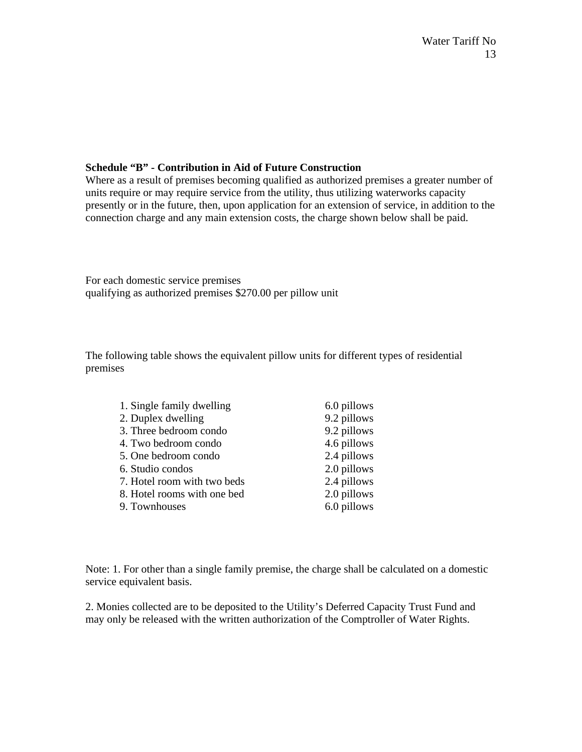## **Schedule "B" - Contribution in Aid of Future Construction**

Where as a result of premises becoming qualified as authorized premises a greater number of units require or may require service from the utility, thus utilizing waterworks capacity presently or in the future, then, upon application for an extension of service, in addition to the connection charge and any main extension costs, the charge shown below shall be paid.

For each domestic service premises qualifying as authorized premises \$270.00 per pillow unit

The following table shows the equivalent pillow units for different types of residential premises

| 1. Single family dwelling   | 6.0 pillows |
|-----------------------------|-------------|
| 2. Duplex dwelling          | 9.2 pillows |
| 3. Three bedroom condo      | 9.2 pillows |
| 4. Two bedroom condo        | 4.6 pillows |
| 5. One bedroom condo        | 2.4 pillows |
| 6. Studio condos            | 2.0 pillows |
| 7. Hotel room with two beds | 2.4 pillows |
| 8. Hotel rooms with one bed | 2.0 pillows |
| 9. Townhouses               | 6.0 pillows |

Note: 1. For other than a single family premise, the charge shall be calculated on a domestic service equivalent basis.

2. Monies collected are to be deposited to the Utility's Deferred Capacity Trust Fund and may only be released with the written authorization of the Comptroller of Water Rights.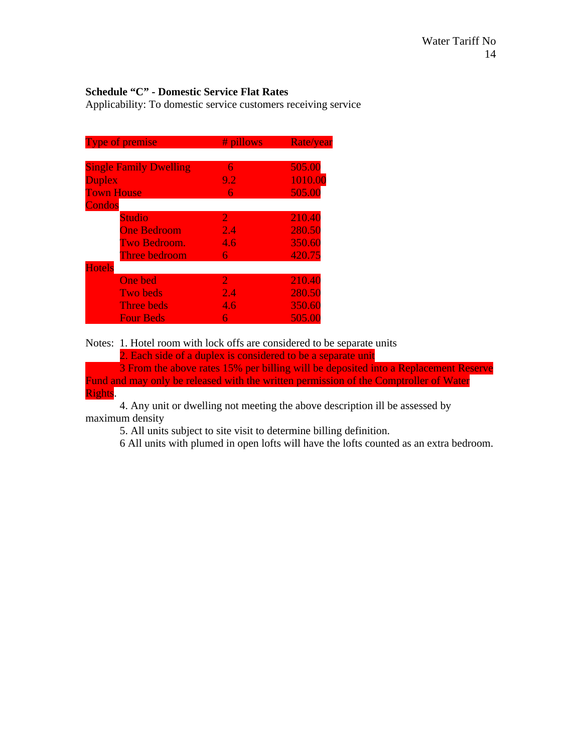## **Schedule "C" - Domestic Service Flat Rates**

Applicability: To domestic service customers receiving service

| <b>Type of premise</b>        | # pillows        | Rate/year |
|-------------------------------|------------------|-----------|
|                               |                  |           |
| <b>Single Family Dwelling</b> | 6                | 505.00    |
| <b>Duplex</b>                 | 9.2              | 1010.00   |
| <b>Town House</b>             | 6                | 505.00    |
| <b>Condos</b>                 |                  |           |
| <b>Studio</b>                 | 2                | 210.40    |
| <b>One Bedroom</b>            | $\overline{2.4}$ | 280.50    |
| Two Bedroom.                  | 4.6              | 350.60    |
| Three bedroom                 | 6                | 420.75    |
| <b>Hotels</b>                 |                  |           |
| <b>One bed</b>                | $\overline{2}$   | 210.40    |
| <b>Two beds</b>               | 2.4              | 280.50    |
| <b>Three beds</b>             | 4.6              | 350.60    |
| <b>Four Beds</b>              | 6                | 505.00    |

Notes: 1. Hotel room with lock offs are considered to be separate units 2. Each side of a duplex is considered to be a separate unit

 3 From the above rates 15% per billing will be deposited into a Replacement Reserve Fund and may only be released with the written permission of the Comptroller of Water Rights.

 4. Any unit or dwelling not meeting the above description ill be assessed by maximum density

5. All units subject to site visit to determine billing definition.

6 All units with plumed in open lofts will have the lofts counted as an extra bedroom.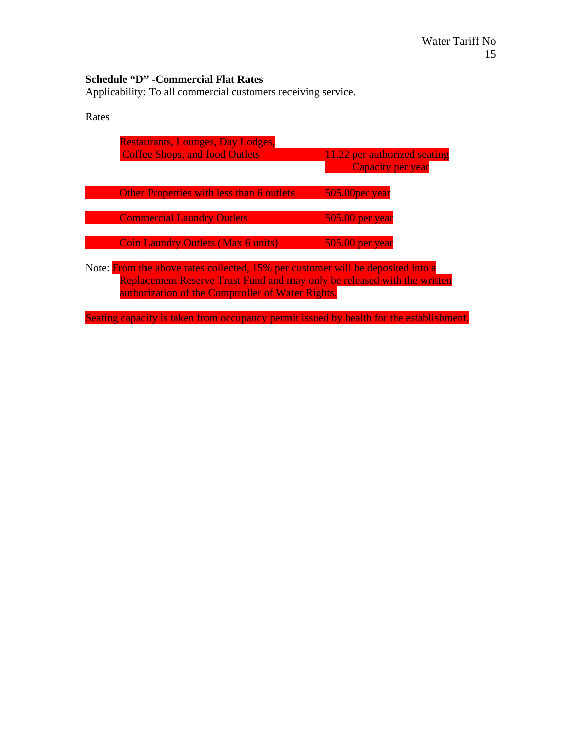# **Schedule "D" -Commercial Flat Rates**

Applicability: To all commercial customers receiving service.

| Rates                                                                                                                                                                                                            |                                                  |                              |  |
|------------------------------------------------------------------------------------------------------------------------------------------------------------------------------------------------------------------|--------------------------------------------------|------------------------------|--|
|                                                                                                                                                                                                                  | <b>Restaurants, Lounges, Day Lodges,</b>         |                              |  |
|                                                                                                                                                                                                                  | <b>Coffee Shops, and food Outlets</b>            | 11.22 per authorized seating |  |
|                                                                                                                                                                                                                  |                                                  | Capacity per year            |  |
|                                                                                                                                                                                                                  | <b>Other Properties with less than 6 outlets</b> | 505.00 per year              |  |
|                                                                                                                                                                                                                  | <b>Commercial Laundry Outlets</b>                | $505.00$ per year            |  |
|                                                                                                                                                                                                                  | <b>Coin Laundry Outlets (Max 6 units)</b>        | $505.00$ per year            |  |
| Note: From the above rates collected, 15% per customer will be deposited into a<br>Replacement Reserve Trust Fund and may only be released with the written<br>authorization of the Comptroller of Water Rights. |                                                  |                              |  |

Seating capacity is taken from occupancy permit issued by health for the establishment.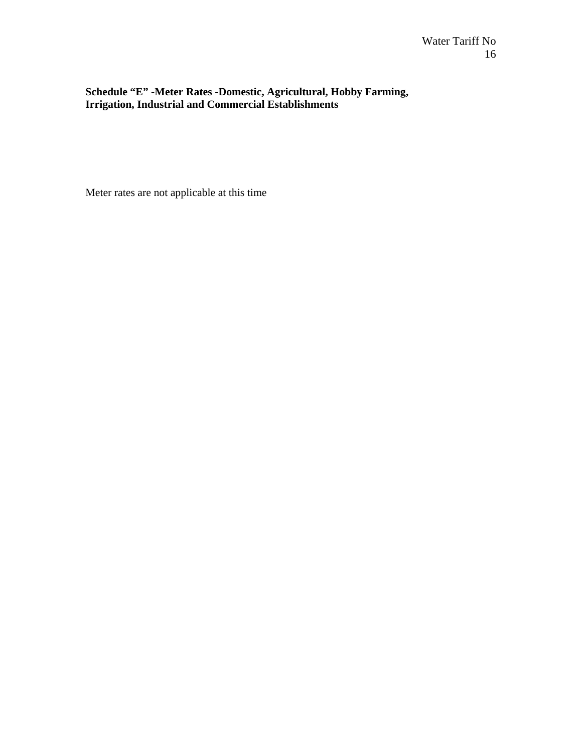**Schedule "E" -Meter Rates -Domestic, Agricultural, Hobby Farming, Irrigation, Industrial and Commercial Establishments** 

Meter rates are not applicable at this time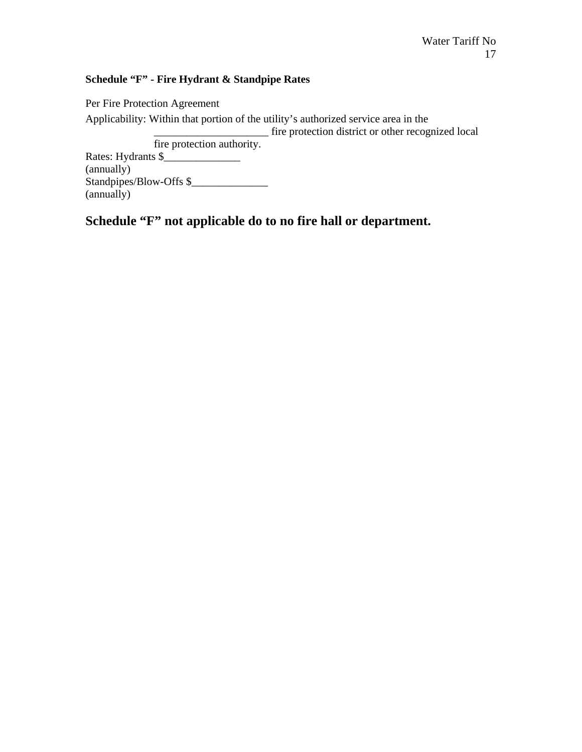## **Schedule "F" - Fire Hydrant & Standpipe Rates**

Per Fire Protection Agreement Applicability: Within that portion of the utility's authorized service area in the \_\_\_\_\_\_\_\_\_\_\_\_\_\_\_\_\_\_\_\_\_ fire protection district or other recognized local fire protection authority. Rates: Hydrants \$\_\_\_\_\_\_\_\_\_\_\_\_\_\_ (annually) Standpipes/Blow-Offs \$ (annually)

**Schedule "F" not applicable do to no fire hall or department.**